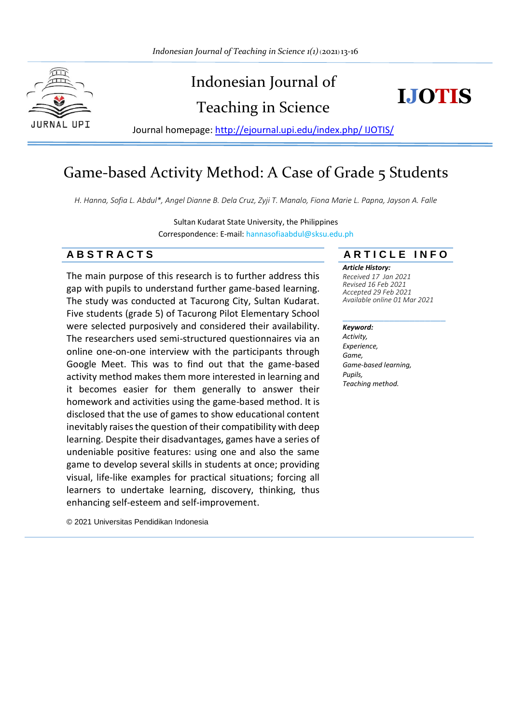



Journal homepage: [http://ejournal.upi.edu/index.php/ IJOTIS/](http://ejournal.upi.edu/index.php/%20IJOTIS/)

# Game-based Activity Method: A Case of Grade 5 Students

*H. Hanna, Sofia L. Abdul\*, Angel Dianne B. Dela Cruz, Zyji T. Manalo, Fiona Marie L. Papna, Jayson A. Falle*

Sultan Kudarat State University, the Philippines Correspondence: E-mail: hannasofiaabdul@sksu.edu.ph

## **A B S T R A C T S A R T I C L E I N F O**

The main purpose of this research is to further address this gap with pupils to understand further game-based learning. The study was conducted at Tacurong City, Sultan Kudarat. Five students (grade 5) of Tacurong Pilot Elementary School were selected purposively and considered their availability. The researchers used semi-structured questionnaires via an online one-on-one interview with the participants through Google Meet. This was to find out that the game-based activity method makes them more interested in learning and it becomes easier for them generally to answer their homework and activities using the game-based method. It is disclosed that the use of games to show educational content inevitably raises the question of their compatibility with deep learning. Despite their disadvantages, games have a series of undeniable positive features: using one and also the same game to develop several skills in students at once; providing visual, life-like examples for practical situations; forcing all learners to undertake learning, discovery, thinking, thus enhancing self-esteem and self-improvement.

© 2021 Universitas Pendidikan Indonesia

#### *Article History:*

*Received 17 Jan 2021 Revised 16 Feb 2021 Accepted 29 Feb 2021 Available online 01 Mar 2021*

\_\_\_\_\_\_\_\_\_\_\_\_\_\_\_\_\_\_\_\_

#### *Keyword:*

*Activity, Experience, Game, Game-based learning, Pupils, Teaching method.*

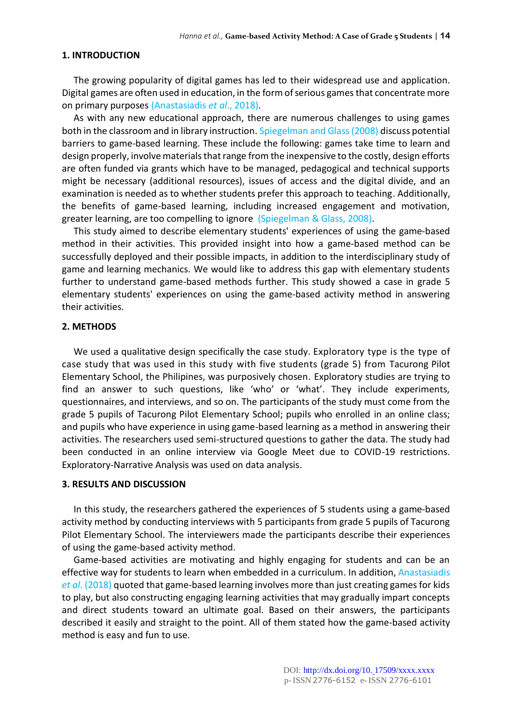#### **1. INTRODUCTION**

The growing popularity of digital games has led to their widespread use and application. Digital games are often used in education, in the form of serious games that concentrate more on primary purposes (Anastasiadis *et al*., 2018).

As with any new educational approach, there are numerous challenges to using games both in the classroom and in library instruction. Spiegelman and Glass (2008) discuss potential barriers to game-based learning. These include the following: games take time to learn and design properly, involve materials that range from the inexpensive to the costly, design efforts are often funded via grants which have to be managed, pedagogical and technical supports might be necessary (additional resources), issues of access and the digital divide, and an examination is needed as to whether students prefer this approach to teaching. Additionally, the benefits of game-based learning, including increased engagement and motivation, greater learning, are too compelling to ignore (Spiegelman & Glass, 2008).

This study aimed to describe elementary students' experiences of using the game-based method in their activities. This provided insight into how a game-based method can be successfully deployed and their possible impacts, in addition to the interdisciplinary study of game and learning mechanics. We would like to address this gap with elementary students further to understand game-based methods further. This study showed a case in grade 5 elementary students' experiences on using the game-based activity method in answering their activities.

#### **2. METHODS**

We used a qualitative design specifically the case study. Exploratory type is the type of case study that was used in this study with five students (grade 5) from Tacurong Pilot Elementary School, the Philipines, was purposively chosen. Exploratory studies are trying to find an answer to such questions, like 'who' or 'what'. They include experiments, questionnaires, and interviews, and so on. The participants of the study must come from the grade 5 pupils of Tacurong Pilot Elementary School; pupils who enrolled in an online class; and pupils who have experience in using game-based learning as a method in answering their activities. The researchers used semi-structured questions to gather the data. The study had been conducted in an online interview via Google Meet due to COVID-19 restrictions. Exploratory-Narrative Analysis was used on data analysis.

### **3. RESULTS AND DISCUSSION**

In this study, the researchers gathered the experiences of 5 students using a game-based activity method by conducting interviews with 5 participants from grade 5 pupils of Tacurong Pilot Elementary School. The interviewers made the participants describe their experiences of using the game-based activity method.

Game-based activities are motivating and highly engaging for students and can be an effective way for students to learn when embedded in a curriculum. In addition, Anastasiadis *et al*. (2018) quoted that game-based learning involves more than just creating games for kids to play, but also constructing engaging learning activities that may gradually impart concepts and direct students toward an ultimate goal. Based on their answers, the participants described it easily and straight to the point. All of them stated how the game-based activity method is easy and fun to use.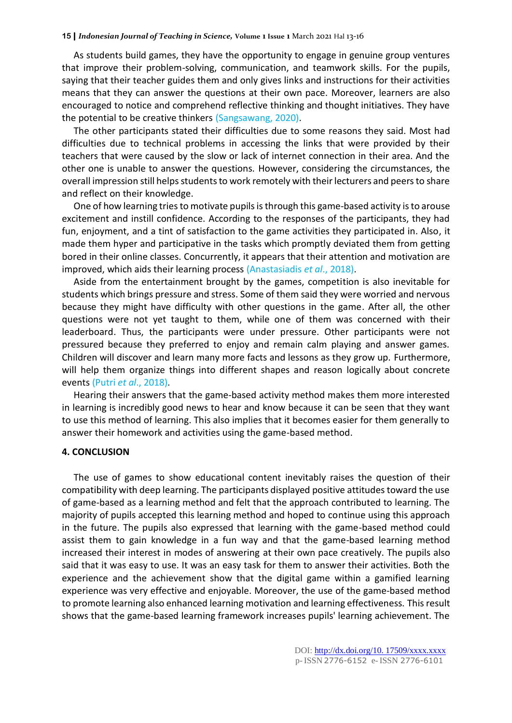As students build games, they have the opportunity to engage in genuine group ventures that improve their problem-solving, communication, and teamwork skills. For the pupils, saying that their teacher guides them and only gives links and instructions for their activities means that they can answer the questions at their own pace. Moreover, learners are also encouraged to notice and comprehend reflective thinking and thought initiatives. They have the potential to be creative thinkers (Sangsawang, 2020).

The other participants stated their difficulties due to some reasons they said. Most had difficulties due to technical problems in accessing the links that were provided by their teachers that were caused by the slow or lack of internet connection in their area. And the other one is unable to answer the questions. However, considering the circumstances, the overall impression still helps students to work remotely with their lecturers and peers to share and reflect on their knowledge.

One of how learning tries to motivate pupils is through this game-based activity is to arouse excitement and instill confidence. According to the responses of the participants, they had fun, enjoyment, and a tint of satisfaction to the game activities they participated in. Also, it made them hyper and participative in the tasks which promptly deviated them from getting bored in their online classes. Concurrently, it appears that their attention and motivation are improved, which aids their learning process (Anastasiadis *et al*., 2018).

Aside from the entertainment brought by the games, competition is also inevitable for students which brings pressure and stress. Some of them said they were worried and nervous because they might have difficulty with other questions in the game. After all, the other questions were not yet taught to them, while one of them was concerned with their leaderboard. Thus, the participants were under pressure. Other participants were not pressured because they preferred to enjoy and remain calm playing and answer games. Children will discover and learn many more facts and lessons as they grow up. Furthermore, will help them organize things into different shapes and reason logically about concrete events (Putri *et al*., 2018).

Hearing their answers that the game-based activity method makes them more interested in learning is incredibly good news to hear and know because it can be seen that they want to use this method of learning. This also implies that it becomes easier for them generally to answer their homework and activities using the game-based method.

#### **4. CONCLUSION**

The use of games to show educational content inevitably raises the question of their compatibility with deep learning. The participants displayed positive attitudes toward the use of game-based as a learning method and felt that the approach contributed to learning. The majority of pupils accepted this learning method and hoped to continue using this approach in the future. The pupils also expressed that learning with the game-based method could assist them to gain knowledge in a fun way and that the game-based learning method increased their interest in modes of answering at their own pace creatively. The pupils also said that it was easy to use. It was an easy task for them to answer their activities. Both the experience and the achievement show that the digital game within a gamified learning experience was very effective and enjoyable. Moreover, the use of the game-based method to promote learning also enhanced learning motivation and learning effectiveness. This result shows that the game-based learning framework increases pupils' learning achievement. The